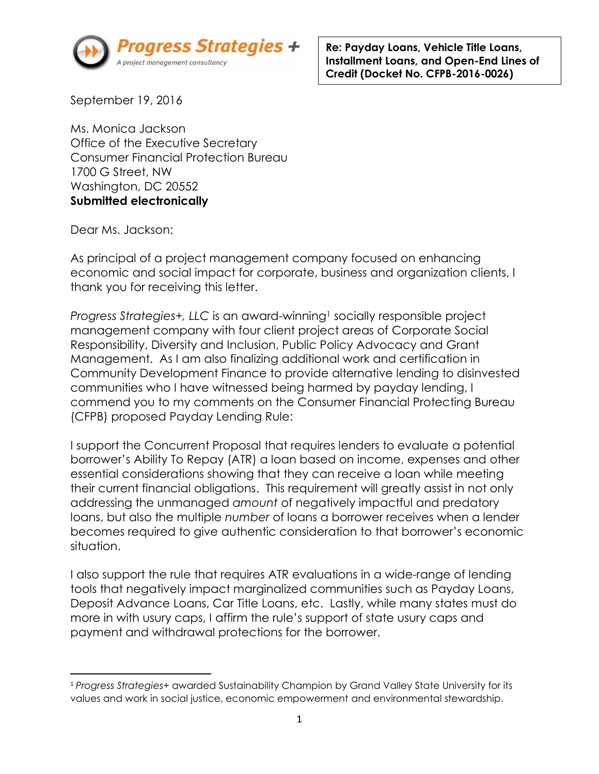

**Re: Payday Loans, Vehicle Title Loans, Installment Loans, and Open-End Lines of Credit (Docket No. CFPB-2016-0026)**

September 19, 2016

Ms. Monica Jackson Office of the Executive Secretary Consumer Financial Protection Bureau 1700 G Street, NW Washington, DC 20552 **Submitted electronically** 

Dear Ms. Jackson:

As principal of a project management company focused on enhancing economic and social impact for corporate, business and organization clients, I thank you for receiving this letter.

*Progress Strategies+, LLC* is an award-winning<sup>1</sup> socially responsible project management company with four client project areas of Corporate Social Responsibility, Diversity and Inclusion, Public Policy Advocacy and Grant Management. As I am also finalizing additional work and certification in Community Development Finance to provide alternative lending to disinvested communities who I have witnessed being harmed by payday lending, I commend you to my comments on the Consumer Financial Protecting Bureau (CFPB) proposed Payday Lending Rule:

I support the Concurrent Proposal that requires lenders to evaluate a potential borrower's Ability To Repay (ATR) a loan based on income, expenses and other essential considerations showing that they can receive a loan while meeting their current financial obligations. This requirement will greatly assist in not only addressing the unmanaged *amount* of negatively impactful and predatory loans, but also the multiple *number* of loans a borrower receives when a lender becomes required to give authentic consideration to that borrower's economic situation.

I also support the rule that requires ATR evaluations in a wide-range of lending tools that negatively impact marginalized communities such as Payday Loans, Deposit Advance Loans, Car Title Loans, etc. Lastly, while many states must do more in with usury caps, I affirm the rule's support of state usury caps and payment and withdrawal protections for the borrower.

 $\overline{\phantom{a}}$ <sup>1</sup> *Progress Strategies+* awarded Sustainability Champion by Grand Valley State University for its values and work in social justice, economic empowerment and environmental stewardship.